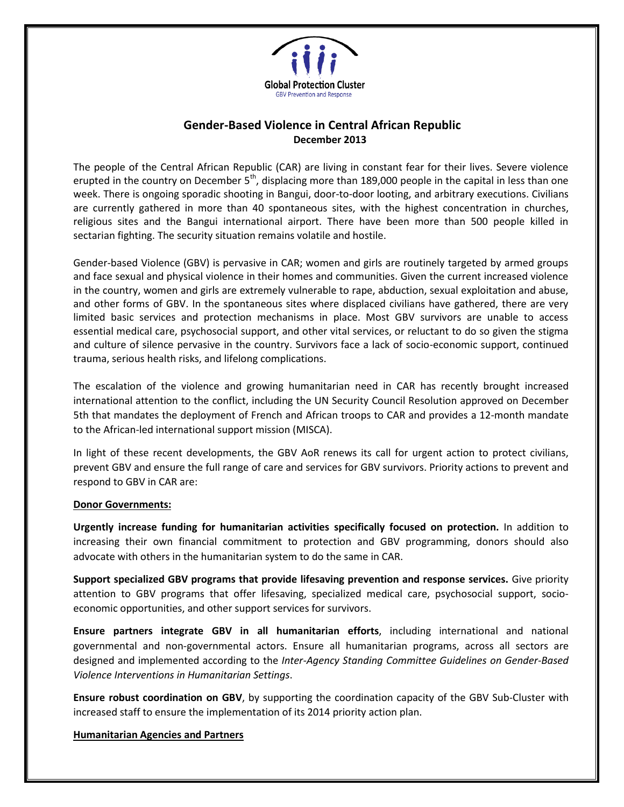

## **Gender-Based Violence in Central African Republic December 2013**

The people of the Central African Republic (CAR) are living in constant fear for their lives. Severe violence erupted in the country on December  $5<sup>th</sup>$ , displacing more than 189,000 people in the capital in less than one week. There is ongoing sporadic shooting in Bangui, door-to-door looting, and arbitrary executions. Civilians are currently gathered in more than 40 spontaneous sites, with the highest concentration in churches, religious sites and the Bangui international airport. There have been more than 500 people killed in sectarian fighting. The security situation remains volatile and hostile.

Gender-based Violence (GBV) is pervasive in CAR; women and girls are routinely targeted by armed groups and face sexual and physical violence in their homes and communities. Given the current increased violence in the country, women and girls are extremely vulnerable to rape, abduction, sexual exploitation and abuse, and other forms of GBV. In the spontaneous sites where displaced civilians have gathered, there are very limited basic services and protection mechanisms in place. Most GBV survivors are unable to access essential medical care, psychosocial support, and other vital services, or reluctant to do so given the stigma and culture of silence pervasive in the country. Survivors face a lack of socio-economic support, continued trauma, serious health risks, and lifelong complications.

The escalation of the violence and growing humanitarian need in CAR has recently brought increased international attention to the conflict, including the UN Security Council Resolution approved on December 5th that mandates the deployment of French and African troops to CAR and provides a 12-month mandate to the African-led international support mission (MISCA).

In light of these recent developments, the GBV AoR renews its call for urgent action to protect civilians, prevent GBV and ensure the full range of care and services for GBV survivors. Priority actions to prevent and respond to GBV in CAR are:

## **Donor Governments:**

**Urgently increase funding for humanitarian activities specifically focused on protection.** In addition to increasing their own financial commitment to protection and GBV programming, donors should also advocate with others in the humanitarian system to do the same in CAR.

**Support specialized GBV programs that provide lifesaving prevention and response services.** Give priority attention to GBV programs that offer lifesaving, specialized medical care, psychosocial support, socioeconomic opportunities, and other support services for survivors.

**Ensure partners integrate GBV in all humanitarian efforts**, including international and national governmental and non-governmental actors. Ensure all humanitarian programs, across all sectors are designed and implemented according to the *Inter-Agency Standing Committee Guidelines on Gender-Based Violence Interventions in Humanitarian Settings*.

**Ensure robust coordination on GBV**, by supporting the coordination capacity of the GBV Sub-Cluster with increased staff to ensure the implementation of its 2014 priority action plan.

## **Humanitarian Agencies and Partners**